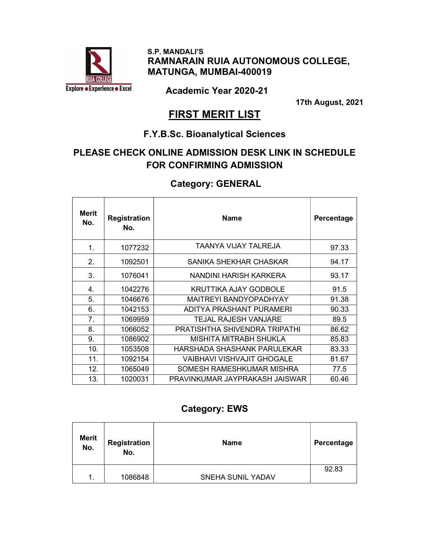

 S.P. MANDALI'S RAMNARAIN RUIA AUTONOMOUS COLLEGE, MATUNGA, MUMBAI-400019

Academic Year 2020-21

17th August, 2021

# **FIRST MERIT LIST**

### F.Y.B.Sc. Bioanalytical Sciences

# PLEASE CHECK ONLINE ADMISSION DESK LINK IN SCHEDULE FOR CONFIRMING ADMISSION

### Category: GENERAL

| <b>Merit</b><br>No. | <b>Registration</b><br>No. | <b>Name</b>                    | Percentage |
|---------------------|----------------------------|--------------------------------|------------|
| 1.                  | 1077232                    | TAANYA VIJAY TALREJA           | 97.33      |
| 2.                  | 1092501                    | SANIKA SHEKHAR CHASKAR         | 94.17      |
| 3.                  | 1076041                    | NANDINI HARISH KARKERA         | 93.17      |
| 4.                  | 1042276                    | KRUTTIKA AJAY GODBOLE          | 91.5       |
| 5.                  | 1046676                    | <b>MAITREYI BANDYOPADHYAY</b>  | 91.38      |
| 6.                  | 1042153                    | ADITYA PRASHANT PURAMERI       | 90.33      |
| 7.                  | 1069959                    | TEJAL RAJESH VANJARE           | 89.5       |
| 8.                  | 1066052                    | PRATISHTHA SHIVENDRA TRIPATHI  | 86.62      |
| 9.                  | 1086902                    | MISHITA MITRABH SHUKLA         | 85.83      |
| 10.                 | 1053508                    | HARSHADA SHASHANK PARULEKAR    | 83.33      |
| 11.                 | 1092154                    | VAIBHAVI VISHVAJIT GHOGALE     | 81.67      |
| 12.                 | 1065049                    | SOMESH RAMESHKUMAR MISHRA      | 77.5       |
| 13.                 | 1020031                    | PRAVINKUMAR JAYPRAKASH JAISWAR | 60.46      |

### Category: EWS

| <b>Merit</b><br>No. | Registration<br>No. | <b>Name</b>              | Percentage |
|---------------------|---------------------|--------------------------|------------|
|                     |                     |                          | 92.83      |
| $\mathbf 1$ .       | 1086848             | <b>SNEHA SUNIL YADAV</b> |            |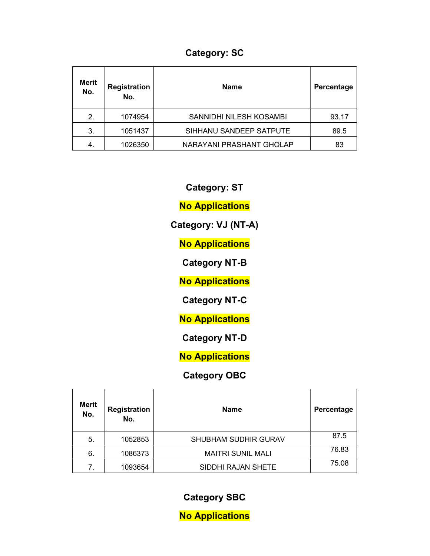# Category: SC

| <b>Merit</b><br>No. | <b>Registration</b><br>No. | <b>Name</b>              | Percentage |
|---------------------|----------------------------|--------------------------|------------|
| 2.                  | 1074954                    | SANNIDHI NILESH KOSAMBI  | 93.17      |
| 3.                  | 1051437                    | SIHHANU SANDEEP SATPUTE  | 89.5       |
| -4.                 | 1026350                    | NARAYANI PRASHANT GHOLAP | 83         |

Category: ST

No Applications

Category: VJ (NT-A)

**No Applications** 

Category NT-B

**No Applications** 

Category NT-C

**No Applications** 

Category NT-D

No Applications

### Category OBC

| <b>Merit</b><br>No. | <b>Registration</b><br>No. | <b>Name</b>                 | Percentage |
|---------------------|----------------------------|-----------------------------|------------|
| 5.                  | 1052853                    | <b>SHUBHAM SUDHIR GURAV</b> | 87.5       |
| 6.                  | 1086373                    | <b>MAITRI SUNIL MALI</b>    | 76.83      |
| 7.                  | 1093654                    | SIDDHI RAJAN SHETE          | 75.08      |

Category SBC

No Applications